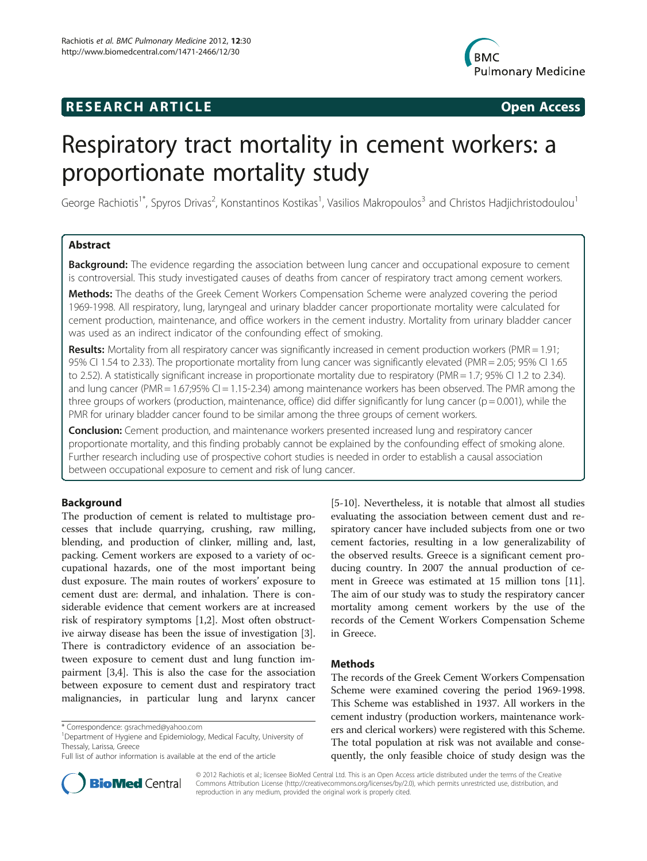# **RESEARCH ARTICLE Example 2014 CONSIDERING CONSIDERING CONSIDERING CONSIDERING CONSIDERING CONSIDERING CONSIDERING CONSIDERING CONSIDERING CONSIDERING CONSIDERING CONSIDERING CONSIDERING CONSIDERING CONSIDERING CONSIDE**



# Respiratory tract mortality in cement workers: a proportionate mortality study

George Rachiotis<sup>1\*</sup>, Spyros Drivas<sup>2</sup>, Konstantinos Kostikas<sup>1</sup>, Vasilios Makropoulos<sup>3</sup> and Christos Hadjichristodoulou<sup>1</sup>

# Abstract

**Background:** The evidence regarding the association between lung cancer and occupational exposure to cement is controversial. This study investigated causes of deaths from cancer of respiratory tract among cement workers.

Methods: The deaths of the Greek Cement Workers Compensation Scheme were analyzed covering the period 1969-1998. All respiratory, lung, laryngeal and urinary bladder cancer proportionate mortality were calculated for cement production, maintenance, and office workers in the cement industry. Mortality from urinary bladder cancer was used as an indirect indicator of the confounding effect of smoking.

Results: Mortality from all respiratory cancer was significantly increased in cement production workers (PMR = 1.91; 95% CI 1.54 to 2.33). The proportionate mortality from lung cancer was significantly elevated (PMR = 2.05; 95% CI 1.65 to 2.52). A statistically significant increase in proportionate mortality due to respiratory (PMR = 1.7; 95% CI 1.2 to 2.34). and lung cancer (PMR = 1.67;95% CI = 1.15-2.34) among maintenance workers has been observed. The PMR among the three groups of workers (production, maintenance, office) did differ significantly for lung cancer ( $p = 0.001$ ), while the PMR for urinary bladder cancer found to be similar among the three groups of cement workers.

**Conclusion:** Cement production, and maintenance workers presented increased lung and respiratory cancer proportionate mortality, and this finding probably cannot be explained by the confounding effect of smoking alone. Further research including use of prospective cohort studies is needed in order to establish a causal association between occupational exposure to cement and risk of lung cancer.

# Background

The production of cement is related to multistage processes that include quarrying, crushing, raw milling, blending, and production of clinker, milling and, last, packing. Cement workers are exposed to a variety of occupational hazards, one of the most important being dust exposure. The main routes of workers' exposure to cement dust are: dermal, and inhalation. There is considerable evidence that cement workers are at increased risk of respiratory symptoms [\[1,2](#page-4-0)]. Most often obstructive airway disease has been the issue of investigation [\[3](#page-4-0)]. There is contradictory evidence of an association between exposure to cement dust and lung function impairment [[3,4\]](#page-4-0). This is also the case for the association between exposure to cement dust and respiratory tract malignancies, in particular lung and larynx cancer



#### Methods

The records of the Greek Cement Workers Compensation Scheme were examined covering the period 1969-1998. This Scheme was established in 1937. All workers in the cement industry (production workers, maintenance workers and clerical workers) were registered with this Scheme. The total population at risk was not available and consequently, the only feasible choice of study design was the



© 2012 Rachiotis et al.; licensee BioMed Central Ltd. This is an Open Access article distributed under the terms of the Creative Commons Attribution License [\(http://creativecommons.org/licenses/by/2.0\)](http://creativecommons.org/licenses/by/2.0), which permits unrestricted use, distribution, and reproduction in any medium, provided the original work is properly cited.

<sup>\*</sup> Correspondence: [gsrachmed@yahoo.com](mailto:gsrachmed@yahoo.com) <sup>1</sup>

<sup>&</sup>lt;sup>1</sup>Department of Hygiene and Epidemiology, Medical Faculty, University of Thessaly, Larissa, Greece

Full list of author information is available at the end of the article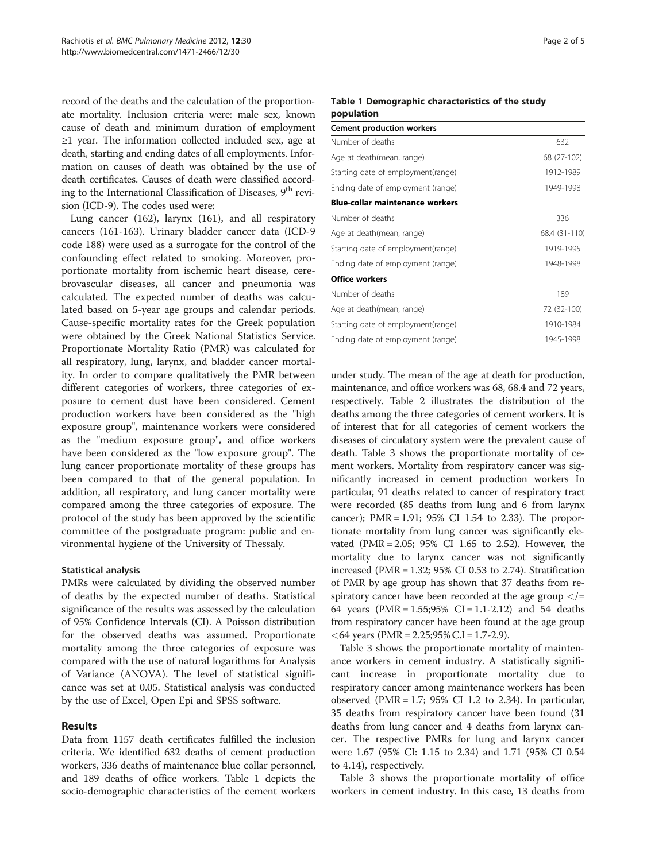record of the deaths and the calculation of the proportionate mortality. Inclusion criteria were: male sex, known cause of death and minimum duration of employment ≥1 year. The information collected included sex, age at death, starting and ending dates of all employments. Information on causes of death was obtained by the use of death certificates. Causes of death were classified according to the International Classification of Diseases, 9<sup>th</sup> revision (ICD-9). The codes used were:

Lung cancer (162), larynx (161), and all respiratory cancers (161-163). Urinary bladder cancer data (ICD-9 code 188) were used as a surrogate for the control of the confounding effect related to smoking. Moreover, proportionate mortality from ischemic heart disease, cerebrovascular diseases, all cancer and pneumonia was calculated. The expected number of deaths was calculated based on 5-year age groups and calendar periods. Cause-specific mortality rates for the Greek population were obtained by the Greek National Statistics Service. Proportionate Mortality Ratio (PMR) was calculated for all respiratory, lung, larynx, and bladder cancer mortality. In order to compare qualitatively the PMR between different categories of workers, three categories of exposure to cement dust have been considered. Cement production workers have been considered as the "high exposure group", maintenance workers were considered as the "medium exposure group", and office workers have been considered as the "low exposure group". The lung cancer proportionate mortality of these groups has been compared to that of the general population. In addition, all respiratory, and lung cancer mortality were compared among the three categories of exposure. The protocol of the study has been approved by the scientific committee of the postgraduate program: public and environmental hygiene of the University of Thessaly.

# Statistical analysis

PMRs were calculated by dividing the observed number of deaths by the expected number of deaths. Statistical significance of the results was assessed by the calculation of 95% Confidence Intervals (CI). A Poisson distribution for the observed deaths was assumed. Proportionate mortality among the three categories of exposure was compared with the use of natural logarithms for Analysis of Variance (ANOVA). The level of statistical significance was set at 0.05. Statistical analysis was conducted by the use of Excel, Open Epi and SPSS software.

# Results

Data from 1157 death certificates fulfilled the inclusion criteria. We identified 632 deaths of cement production workers, 336 deaths of maintenance blue collar personnel, and 189 deaths of office workers. Table 1 depicts the socio-demographic characteristics of the cement workers

# Table 1 Demographic characteristics of the study population

| <b>Cement production workers</b>       |               |
|----------------------------------------|---------------|
| Number of deaths                       | 632           |
| Age at death(mean, range)              | 68 (27-102)   |
| Starting date of employment(range)     | 1912-1989     |
| Ending date of employment (range)      | 1949-1998     |
| <b>Blue-collar maintenance workers</b> |               |
| Number of deaths                       | 336           |
| Age at death(mean, range)              | 68.4 (31-110) |
| Starting date of employment(range)     | 1919-1995     |
| Ending date of employment (range)      | 1948-1998     |
| <b>Office workers</b>                  |               |
| Number of deaths                       | 189           |
| Age at death(mean, range)              | 72 (32-100)   |
| Starting date of employment(range)     | 1910-1984     |
| Ending date of employment (range)      | 1945-1998     |

under study. The mean of the age at death for production, maintenance, and office workers was 68, 68.4 and 72 years, respectively. Table [2](#page-2-0) illustrates the distribution of the deaths among the three categories of cement workers. It is of interest that for all categories of cement workers the diseases of circulatory system were the prevalent cause of death. Table [3](#page-2-0) shows the proportionate mortality of cement workers. Mortality from respiratory cancer was significantly increased in cement production workers In particular, 91 deaths related to cancer of respiratory tract were recorded (85 deaths from lung and 6 from larynx cancer); PMR = 1.91; 95% CI 1.54 to 2.33). The proportionate mortality from lung cancer was significantly elevated (PMR = 2.05; 95% CI 1.65 to 2.52). However, the mortality due to larynx cancer was not significantly increased (PMR =  $1.32$ ;  $95\%$  CI 0.53 to 2.74). Stratification of PMR by age group has shown that 37 deaths from respiratory cancer have been recorded at the age group  $\lt$ /= 64 years (PMR = 1.55;95% CI = 1.1-2.12) and 54 deaths from respiratory cancer have been found at the age group  $<$  64 years (PMR = 2.25;95% C.I = 1.7-2.9).

Table [3](#page-2-0) shows the proportionate mortality of maintenance workers in cement industry. A statistically significant increase in proportionate mortality due to respiratory cancer among maintenance workers has been observed (PMR =  $1.7$ ; 95% CI 1.2 to 2.34). In particular, 35 deaths from respiratory cancer have been found (31 deaths from lung cancer and 4 deaths from larynx cancer. The respective PMRs for lung and larynx cancer were 1.67 (95% CI: 1.15 to 2.34) and 1.71 (95% CI 0.54 to 4.14), respectively.

Table [3](#page-2-0) shows the proportionate mortality of office workers in cement industry. In this case, 13 deaths from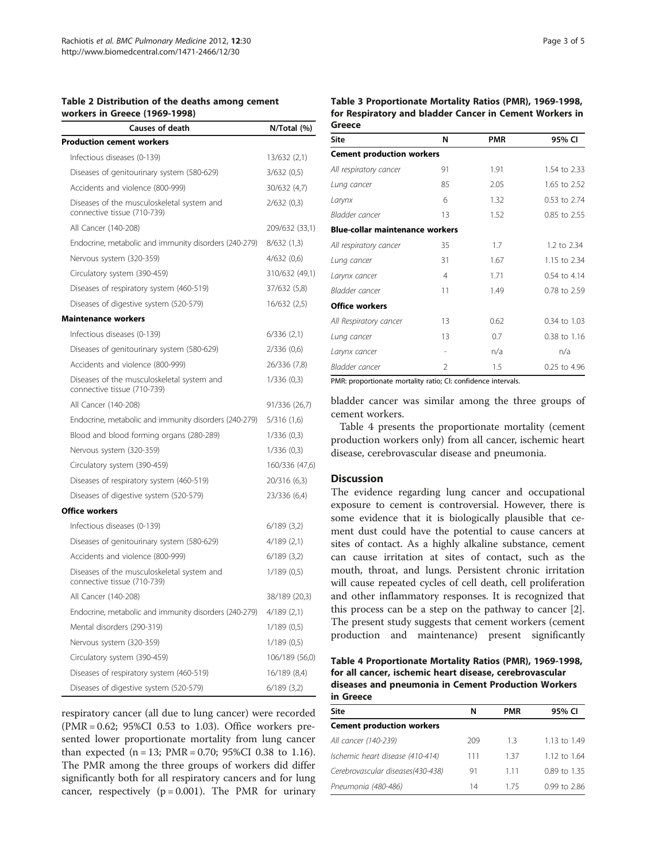#### <span id="page-2-0"></span>Table 2 Distribution of the deaths among cement workers in Greece (1969-1998)

| <b>Causes of death</b>                                                    | N/Total (%)    |
|---------------------------------------------------------------------------|----------------|
| <b>Production cement workers</b>                                          |                |
| Infectious diseases (0-139)                                               | 13/632 (2,1)   |
| Diseases of genitourinary system (580-629)                                | 3/632(0,5)     |
| Accidents and violence (800-999)                                          | 30/632 (4,7)   |
| Diseases of the musculoskeletal system and<br>connective tissue (710-739) | 2/632(0,3)     |
| All Cancer (140-208)                                                      | 209/632 (33,1) |
| Endocrine, metabolic and immunity disorders (240-279)                     | 8/632(1,3)     |
| Nervous system (320-359)                                                  | 4/632(0,6)     |
| Circulatory system (390-459)                                              | 310/632 (49,1) |
| Diseases of respiratory system (460-519)                                  | 37/632 (5,8)   |
| Diseases of digestive system (520-579)                                    | 16/632 (2,5)   |
| <b>Maintenance workers</b>                                                |                |
| Infectious diseases (0-139)                                               | 6/336(2,1)     |
| Diseases of genitourinary system (580-629)                                | 2/336 (0,6)    |
| Accidents and violence (800-999)                                          | 26/336 (7,8)   |
| Diseases of the musculoskeletal system and<br>connective tissue (710-739) | 1/336(0,3)     |
| All Cancer (140-208)                                                      | 91/336 (26,7)  |
| Endocrine, metabolic and immunity disorders (240-279)                     | 5/316 (1,6)    |
| Blood and blood forming organs (280-289)                                  | 1/336(0,3)     |
| Nervous system (320-359)                                                  | 1/336(0,3)     |
| Circulatory system (390-459)                                              | 160/336 (47,6) |
| Diseases of respiratory system (460-519)                                  | 20/316 (6,3)   |
| Diseases of digestive system (520-579)                                    | 23/336 (6,4)   |
| <b>Office workers</b>                                                     |                |
| Infectious diseases (0-139)                                               | 6/189(3,2)     |
| Diseases of genitourinary system (580-629)                                | 4/189(2,1)     |
| Accidents and violence (800-999)                                          | 6/189(3,2)     |
| Diseases of the musculoskeletal system and<br>connective tissue (710-739) | 1/189(0,5)     |
| All Cancer (140-208)                                                      | 38/189 (20,3)  |
| Endocrine, metabolic and immunity disorders (240-279)                     | 4/189(2,1)     |
| Mental disorders (290-319)                                                | 1/189(0,5)     |
| Nervous system (320-359)                                                  | 1/189(0.5)     |
| Circulatory system (390-459)                                              | 106/189 (56,0) |
| Diseases of respiratory system (460-519)                                  | 16/189 (8,4)   |
| Diseases of digestive system (520-579)                                    | 6/189(3,2)     |

respiratory cancer (all due to lung cancer) were recorded (PMR = 0.62; 95%CI 0.53 to 1.03). Office workers presented lower proportionate mortality from lung cancer than expected  $(n = 13; PMR = 0.70; 95\% CI 0.38$  to 1.16). The PMR among the three groups of workers did differ significantly both for all respiratory cancers and for lung cancer, respectively ( $p = 0.001$ ). The PMR for urinary Table 3 Proportionate Mortality Ratios (PMR), 1969-1998, for Respiratory and bladder Cancer in Cement Workers in **Greece** 

| Site                                   | N  | <b>PMR</b> | 95% CI       |
|----------------------------------------|----|------------|--------------|
| <b>Cement production workers</b>       |    |            |              |
| All respiratory cancer                 | 91 | 1.91       | 1.54 to 2.33 |
| Lung cancer                            | 85 | 2.05       | 1.65 to 2.52 |
| Larynx                                 | 6  | 1.32       | 0.53 to 2.74 |
| Bladder cancer                         | 13 | 1.52       | 0.85 to 2.55 |
| <b>Blue-collar maintenance workers</b> |    |            |              |
| All respiratory cancer                 | 35 | 1.7        | 1.2 to 2.34  |
| Lung cancer                            | 31 | 1.67       | 1.15 to 2.34 |
| Larynx cancer                          | 4  | 1.71       | 0.54 to 4.14 |
| Bladder cancer                         | 11 | 1.49       | 0.78 to 2.59 |
| <b>Office workers</b>                  |    |            |              |
| All Respiratory cancer                 | 13 | 0.62       | 0.34 to 1.03 |
| Lung cancer                            | 13 | 0.7        | 0.38 to 1.16 |
| Larynx cancer                          |    | n/a        | n/a          |
| Bladder cancer                         | 2  | 1.5        | 0.25 to 4.96 |

PMR: proportionate mortality ratio; CI: confidence intervals.

bladder cancer was similar among the three groups of cement workers.

Table 4 presents the proportionate mortality (cement production workers only) from all cancer, ischemic heart disease, cerebrovascular disease and pneumonia.

#### **Discussion**

The evidence regarding lung cancer and occupational exposure to cement is controversial. However, there is some evidence that it is biologically plausible that cement dust could have the potential to cause cancers at sites of contact. As a highly alkaline substance, cement can cause irritation at sites of contact, such as the mouth, throat, and lungs. Persistent chronic irritation will cause repeated cycles of cell death, cell proliferation and other inflammatory responses. It is recognized that this process can be a step on the pathway to cancer [\[2](#page-4-0)]. The present study suggests that cement workers (cement production and maintenance) present significantly

Table 4 Proportionate Mortality Ratios (PMR), 1969-1998, for all cancer, ischemic heart disease, cerebrovascular diseases and pneumonia in Cement Production Workers in Greece

| <b>Site</b>                       | N   | PMR | 95% CI           |
|-----------------------------------|-----|-----|------------------|
| <b>Cement production workers</b>  |     |     |                  |
| All cancer (140-239)              | 209 | 13  | 1.13 to $1.49$   |
| Ischemic heart disease (410-414)  | 111 | 137 | 1.12 to $1.64$   |
| Cerebrovascular diseases(430-438) | 91  | 111 | 0.89 to 1.35     |
| Pneumonia (480-486)               | 14  | 175 | $0.99$ to $2.86$ |
|                                   |     |     |                  |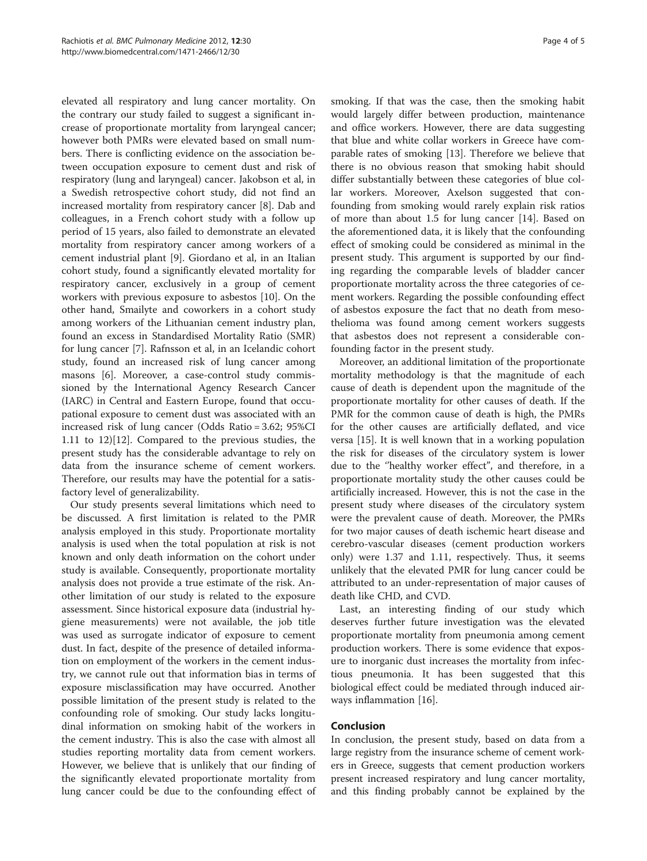elevated all respiratory and lung cancer mortality. On the contrary our study failed to suggest a significant increase of proportionate mortality from laryngeal cancer; however both PMRs were elevated based on small numbers. There is conflicting evidence on the association between occupation exposure to cement dust and risk of respiratory (lung and laryngeal) cancer. Jakobson et al, in a Swedish retrospective cohort study, did not find an increased mortality from respiratory cancer [\[8](#page-4-0)]. Dab and colleagues, in a French cohort study with a follow up period of 15 years, also failed to demonstrate an elevated mortality from respiratory cancer among workers of a cement industrial plant [[9\]](#page-4-0). Giordano et al, in an Italian cohort study, found a significantly elevated mortality for respiratory cancer, exclusively in a group of cement workers with previous exposure to asbestos [[10\]](#page-4-0). On the other hand, Smailyte and coworkers in a cohort study among workers of the Lithuanian cement industry plan, found an excess in Standardised Mortality Ratio (SMR) for lung cancer [[7\]](#page-4-0). Rafnsson et al, in an Icelandic cohort study, found an increased risk of lung cancer among masons [[6\]](#page-4-0). Moreover, a case-control study commissioned by the International Agency Research Cancer (IARC) in Central and Eastern Europe, found that occupational exposure to cement dust was associated with an increased risk of lung cancer (Odds Ratio = 3.62; 95%CI 1.11 to 12)[[12\]](#page-4-0). Compared to the previous studies, the present study has the considerable advantage to rely on data from the insurance scheme of cement workers. Therefore, our results may have the potential for a satisfactory level of generalizability.

Our study presents several limitations which need to be discussed. A first limitation is related to the PMR analysis employed in this study. Proportionate mortality analysis is used when the total population at risk is not known and only death information on the cohort under study is available. Consequently, proportionate mortality analysis does not provide a true estimate of the risk. Another limitation of our study is related to the exposure assessment. Since historical exposure data (industrial hygiene measurements) were not available, the job title was used as surrogate indicator of exposure to cement dust. In fact, despite of the presence of detailed information on employment of the workers in the cement industry, we cannot rule out that information bias in terms of exposure misclassification may have occurred. Another possible limitation of the present study is related to the confounding role of smoking. Our study lacks longitudinal information on smoking habit of the workers in the cement industry. This is also the case with almost all studies reporting mortality data from cement workers. However, we believe that is unlikely that our finding of the significantly elevated proportionate mortality from lung cancer could be due to the confounding effect of

smoking. If that was the case, then the smoking habit would largely differ between production, maintenance and office workers. However, there are data suggesting that blue and white collar workers in Greece have comparable rates of smoking [[13\]](#page-4-0). Therefore we believe that there is no obvious reason that smoking habit should differ substantially between these categories of blue collar workers. Moreover, Axelson suggested that confounding from smoking would rarely explain risk ratios of more than about 1.5 for lung cancer [[14\]](#page-4-0). Based on the aforementioned data, it is likely that the confounding effect of smoking could be considered as minimal in the present study. This argument is supported by our finding regarding the comparable levels of bladder cancer proportionate mortality across the three categories of cement workers. Regarding the possible confounding effect of asbestos exposure the fact that no death from mesothelioma was found among cement workers suggests that asbestos does not represent a considerable confounding factor in the present study.

Moreover, an additional limitation of the proportionate mortality methodology is that the magnitude of each cause of death is dependent upon the magnitude of the proportionate mortality for other causes of death. If the PMR for the common cause of death is high, the PMRs for the other causes are artificially deflated, and vice versa [[15\]](#page-4-0). It is well known that in a working population the risk for diseases of the circulatory system is lower due to the ''healthy worker effect", and therefore, in a proportionate mortality study the other causes could be artificially increased. However, this is not the case in the present study where diseases of the circulatory system were the prevalent cause of death. Moreover, the PMRs for two major causes of death ischemic heart disease and cerebro-vascular diseases (cement production workers only) were 1.37 and 1.11, respectively. Thus, it seems unlikely that the elevated PMR for lung cancer could be attributed to an under-representation of major causes of death like CHD, and CVD.

Last, an interesting finding of our study which deserves further future investigation was the elevated proportionate mortality from pneumonia among cement production workers. There is some evidence that exposure to inorganic dust increases the mortality from infectious pneumonia. It has been suggested that this biological effect could be mediated through induced airways inflammation [\[16\]](#page-4-0).

### Conclusion

In conclusion, the present study, based on data from a large registry from the insurance scheme of cement workers in Greece, suggests that cement production workers present increased respiratory and lung cancer mortality, and this finding probably cannot be explained by the